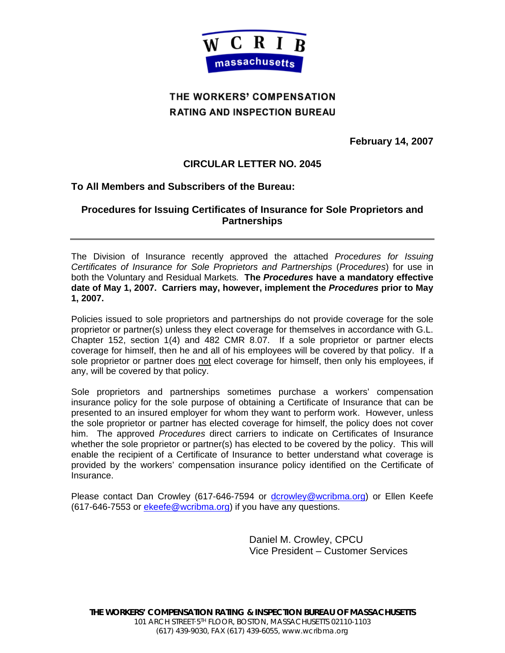

# THE WORKERS' COMPENSATION **RATING AND INSPECTION BUREAU**

**February 14, 2007** 

## **CIRCULAR LETTER NO. 2045**

## **To All Members and Subscribers of the Bureau:**

## **Procedures for Issuing Certificates of Insurance for Sole Proprietors and Partnerships**

The Division of Insurance recently approved the attached *Procedures for Issuing Certificates of Insurance for Sole Proprietors and Partnerships* (*Procedures*) for use in both the Voluntary and Residual Markets*.* **The** *Procedures* **have a mandatory effective date of May 1, 2007. Carriers may, however, implement the** *Procedures* **prior to May 1, 2007.** 

Policies issued to sole proprietors and partnerships do not provide coverage for the sole proprietor or partner(s) unless they elect coverage for themselves in accordance with G.L. Chapter 152, section 1(4) and 482 CMR 8.07. If a sole proprietor or partner elects coverage for himself, then he and all of his employees will be covered by that policy. If a sole proprietor or partner does not elect coverage for himself, then only his employees, if any, will be covered by that policy.

Sole proprietors and partnerships sometimes purchase a workers' compensation insurance policy for the sole purpose of obtaining a Certificate of Insurance that can be presented to an insured employer for whom they want to perform work. However, unless the sole proprietor or partner has elected coverage for himself, the policy does not cover him. The approved *Procedures* direct carriers to indicate on Certificates of Insurance whether the sole proprietor or partner(s) has elected to be covered by the policy. This will enable the recipient of a Certificate of Insurance to better understand what coverage is provided by the workers' compensation insurance policy identified on the Certificate of Insurance.

Please contact Dan Crowley (617-646-7594 or dcrowley@wcribma.org) or Ellen Keefe (617-646-7553 or ekeefe@wcribma.org) if you have any questions.

> Daniel M. Crowley, CPCU Vice President – Customer Services